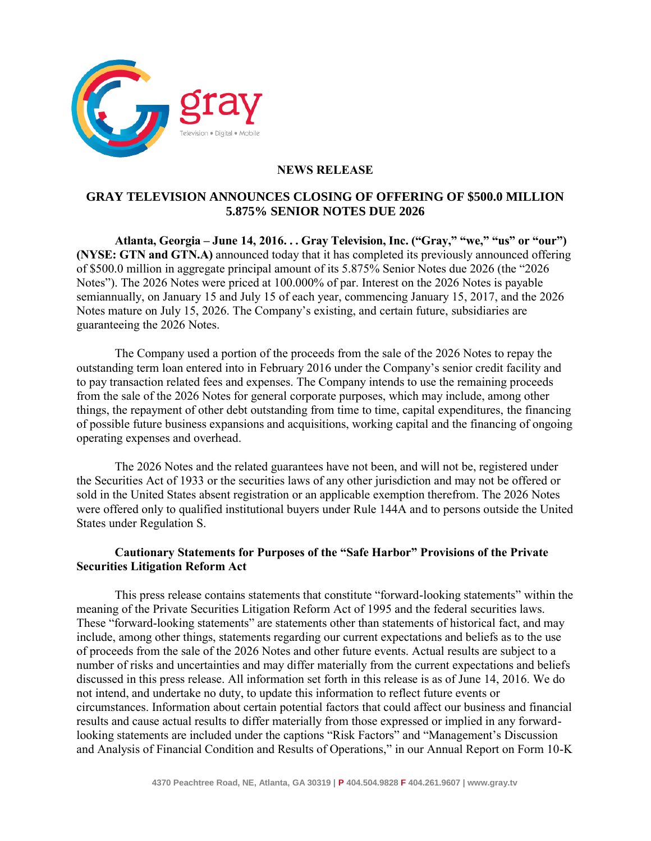

## **NEWS RELEASE**

## **GRAY TELEVISION ANNOUNCES CLOSING OF OFFERING OF \$500.0 MILLION 5.875% SENIOR NOTES DUE 2026**

**Atlanta, Georgia – June 14, 2016. . . Gray Television, Inc. ("Gray," "we," "us" or "our") (NYSE: GTN and GTN.A)** announced today that it has completed its previously announced offering of \$500.0 million in aggregate principal amount of its 5.875% Senior Notes due 2026 (the "2026 Notes"). The 2026 Notes were priced at 100.000% of par. Interest on the 2026 Notes is payable semiannually, on January 15 and July 15 of each year, commencing January 15, 2017, and the 2026 Notes mature on July 15, 2026. The Company's existing, and certain future, subsidiaries are guaranteeing the 2026 Notes.

The Company used a portion of the proceeds from the sale of the 2026 Notes to repay the outstanding term loan entered into in February 2016 under the Company's senior credit facility and to pay transaction related fees and expenses. The Company intends to use the remaining proceeds from the sale of the 2026 Notes for general corporate purposes, which may include, among other things, the repayment of other debt outstanding from time to time, capital expenditures, the financing of possible future business expansions and acquisitions, working capital and the financing of ongoing operating expenses and overhead.

The 2026 Notes and the related guarantees have not been, and will not be, registered under the Securities Act of 1933 or the securities laws of any other jurisdiction and may not be offered or sold in the United States absent registration or an applicable exemption therefrom. The 2026 Notes were offered only to qualified institutional buyers under Rule 144A and to persons outside the United States under Regulation S.

## **Cautionary Statements for Purposes of the "Safe Harbor" Provisions of the Private Securities Litigation Reform Act**

This press release contains statements that constitute "forward-looking statements" within the meaning of the Private Securities Litigation Reform Act of 1995 and the federal securities laws. These "forward-looking statements" are statements other than statements of historical fact, and may include, among other things, statements regarding our current expectations and beliefs as to the use of proceeds from the sale of the 2026 Notes and other future events. Actual results are subject to a number of risks and uncertainties and may differ materially from the current expectations and beliefs discussed in this press release. All information set forth in this release is as of June 14, 2016. We do not intend, and undertake no duty, to update this information to reflect future events or circumstances. Information about certain potential factors that could affect our business and financial results and cause actual results to differ materially from those expressed or implied in any forwardlooking statements are included under the captions "Risk Factors" and "Management's Discussion and Analysis of Financial Condition and Results of Operations," in our Annual Report on Form 10-K